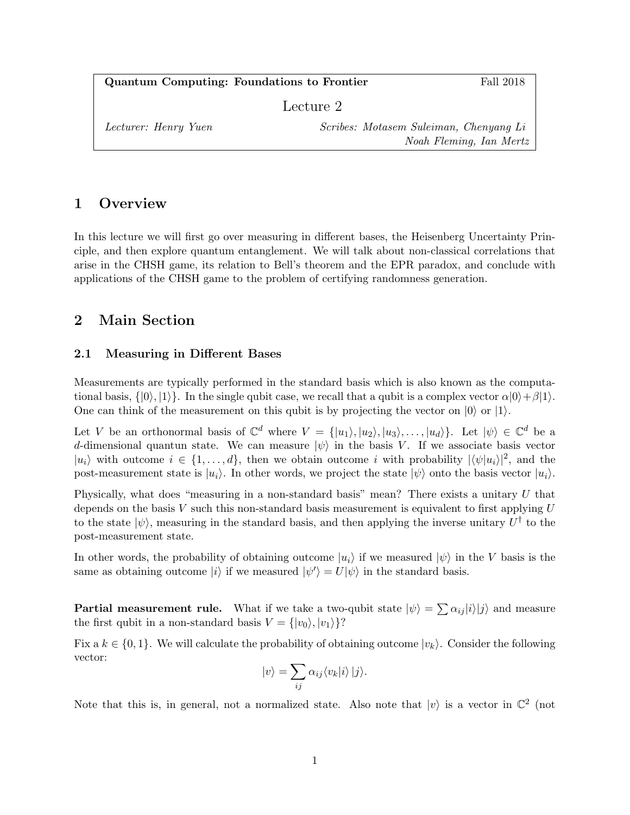Quantum Computing: Foundations to Frontier Fall 2018 Lecture 2 Lecturer: Henry Yuen Scribes: Motasem Suleiman, Chenyang Li Noah Fleming, Ian Mertz

## 1 Overview

In this lecture we will first go over measuring in different bases, the Heisenberg Uncertainty Principle, and then explore quantum entanglement. We will talk about non-classical correlations that arise in the CHSH game, its relation to Bell's theorem and the EPR paradox, and conclude with applications of the CHSH game to the problem of certifying randomness generation.

## 2 Main Section

### 2.1 Measuring in Different Bases

Measurements are typically performed in the standard basis which is also known as the computational basis,  $\{|0\rangle, |1\rangle\}$ . In the single qubit case, we recall that a qubit is a complex vector  $\alpha|0\rangle + \beta|1\rangle$ . One can think of the measurement on this qubit is by projecting the vector on  $|0\rangle$  or  $|1\rangle$ .

Let V be an orthonormal basis of  $\mathbb{C}^d$  where  $V = \{ |u_1\rangle, |u_2\rangle, |u_3\rangle, \ldots, |u_d\rangle \}$ . Let  $|\psi\rangle \in \mathbb{C}^d$  be a d-dimensional quantun state. We can measure  $|\psi\rangle$  in the basis V. If we associate basis vector  $|u_i\rangle$  with outcome  $i \in \{1, \ldots, d\}$ , then we obtain outcome i with probability  $|\langle \psi | u_i \rangle|^2$ , and the post-measurement state is  $|u_i\rangle$ . In other words, we project the state  $|\psi\rangle$  onto the basis vector  $|u_i\rangle$ .

Physically, what does "measuring in a non-standard basis" mean? There exists a unitary U that depends on the basis  $V$  such this non-standard basis measurement is equivalent to first applying  $U$ to the state  $|\psi\rangle$ , measuring in the standard basis, and then applying the inverse unitary  $U^{\dagger}$  to the post-measurement state.

In other words, the probability of obtaining outcome  $|u_i\rangle$  if we measured  $|\psi\rangle$  in the V basis is the same as obtaining outcome  $|i\rangle$  if we measured  $|\psi'\rangle = U|\psi\rangle$  in the standard basis.

**Partial measurement rule.** What if we take a two-qubit state  $|\psi\rangle = \sum \alpha_{ij} |i\rangle |j\rangle$  and measure the first qubit in a non-standard basis  $V = \{ |v_0\rangle, |v_1\rangle \}$ ?

Fix a  $k \in \{0, 1\}$ . We will calculate the probability of obtaining outcome  $|v_k\rangle$ . Consider the following vector:

$$
|v\rangle = \sum_{ij} \alpha_{ij} \langle v_k | i \rangle | j \rangle.
$$

Note that this is, in general, not a normalized state. Also note that  $|v\rangle$  is a vector in  $\mathbb{C}^2$  (not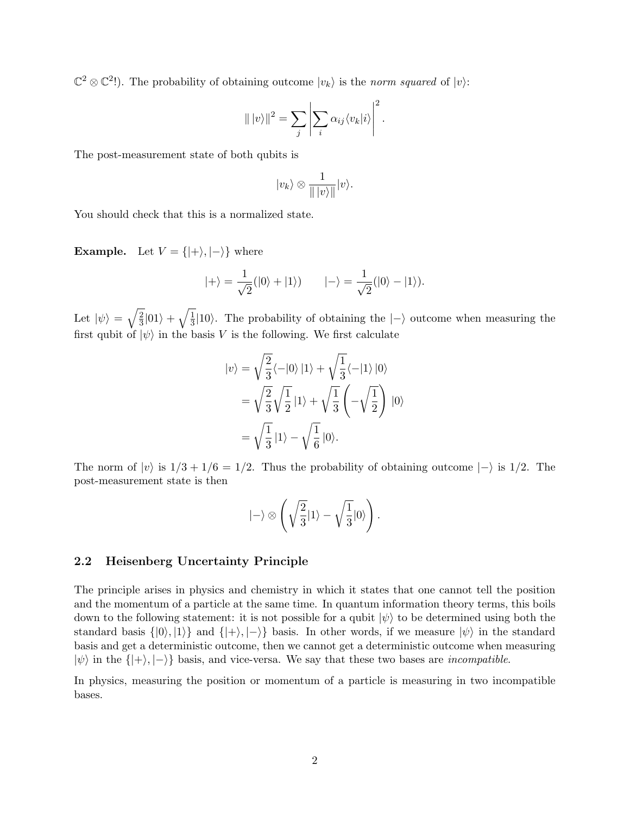$\mathbb{C}^2 \otimes \mathbb{C}^2$ !). The probability of obtaining outcome  $|v_k\rangle$  is the norm squared of  $|v\rangle$ :

$$
\| |v\rangle\|^2 = \sum_j \left| \sum_i \alpha_{ij} \langle v_k | i \rangle \right|^2.
$$

The post-measurement state of both qubits is

$$
|v_k\rangle \otimes \frac{1}{\| |v\rangle\|} |v\rangle.
$$

You should check that this is a normalized state.

**Example.** Let  $V = \{ |+ \rangle, |- \rangle \}$  where

$$
|+\rangle = \frac{1}{\sqrt{2}}(|0\rangle + |1\rangle) \qquad |-\rangle = \frac{1}{\sqrt{2}}(|0\rangle - |1\rangle).
$$

Let  $|\psi\rangle = \sqrt{\frac{2}{3}}$  $\frac{2}{3}$ |01 $\rangle + \sqrt{\frac{1}{3}}$  $\frac{1}{3}$ |10 $\rangle$ . The probability of obtaining the  $|-\rangle$  outcome when measuring the first qubit of  $|\psi\rangle$  in the basis V is the following. We first calculate

$$
|v\rangle = \sqrt{\frac{2}{3}} \langle -|0\rangle |1\rangle + \sqrt{\frac{1}{3}} \langle -|1\rangle |0\rangle
$$
  
=  $\sqrt{\frac{2}{3}} \sqrt{\frac{1}{2}} |1\rangle + \sqrt{\frac{1}{3}} \left( -\sqrt{\frac{1}{2}} \right) |0\rangle$   
=  $\sqrt{\frac{1}{3}} |1\rangle - \sqrt{\frac{1}{6}} |0\rangle.$ 

The norm of  $|v\rangle$  is  $1/3 + 1/6 = 1/2$ . Thus the probability of obtaining outcome  $|-\rangle$  is 1/2. The post-measurement state is then

$$
|-\rangle \otimes \left(\sqrt{\frac{2}{3}}|1\rangle - \sqrt{\frac{1}{3}}|0\rangle\right).
$$

#### 2.2 Heisenberg Uncertainty Principle

The principle arises in physics and chemistry in which it states that one cannot tell the position and the momentum of a particle at the same time. In quantum information theory terms, this boils down to the following statement: it is not possible for a qubit  $|\psi\rangle$  to be determined using both the standard basis  $\{|0\rangle, |1\rangle\}$  and  $\{|+\rangle, |-\rangle\}$  basis. In other words, if we measure  $|\psi\rangle$  in the standard basis and get a deterministic outcome, then we cannot get a deterministic outcome when measuring  $|\psi\rangle$  in the  $\{|+\rangle, |-\rangle\}$  basis, and vice-versa. We say that these two bases are *incompatible*.

In physics, measuring the position or momentum of a particle is measuring in two incompatible bases.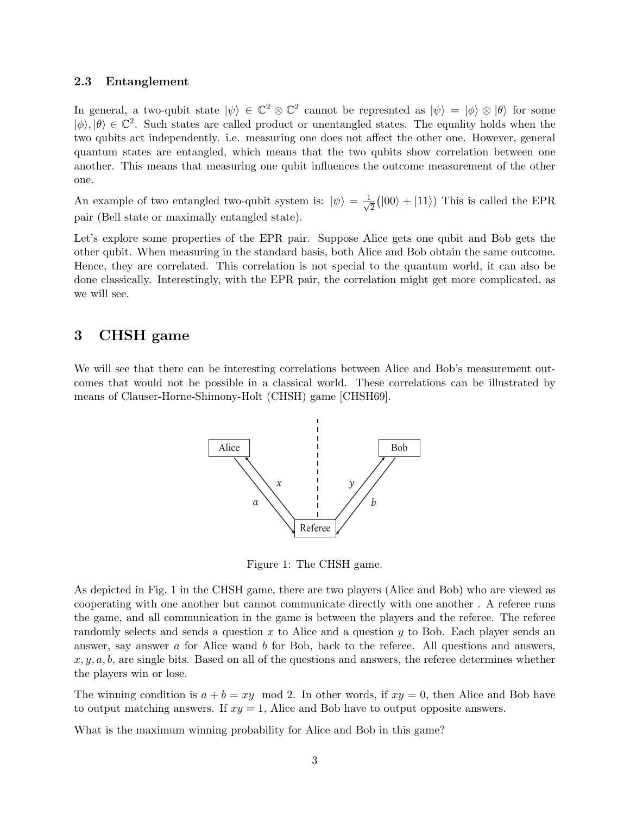#### 2.3 Entanglement

In general, a two-qubit state  $|\psi\rangle \in \mathbb{C}^2 \otimes \mathbb{C}^2$  cannot be represnted as  $|\psi\rangle = |\phi\rangle \otimes |\theta\rangle$  for some  $|\phi\rangle, |\theta\rangle \in \mathbb{C}^2$ . Such states are called product or unentangled states. The equality holds when the two qubits act independently. i.e. measuring one does not affect the other one. However, general quantum states are entangled, which means that the two qubits show correlation between one another. This means that measuring one qubit influences the outcome measurement of the other one.

An example of two entangled two-qubit system is:  $|\psi\rangle = \frac{1}{4}$  $\frac{1}{2}(|00\rangle + |11\rangle)$  This is called the EPR pair (Bell state or maximally entangled state).

Let's explore some properties of the EPR pair. Suppose Alice gets one qubit and Bob gets the other qubit. When measuring in the standard basis, both Alice and Bob obtain the same outcome. Hence, they are correlated. This correlation is not special to the quantum world, it can also be done classically. Interestingly, with the EPR pair, the correlation might get more complicated, as we will see.

## 3 CHSH game

We will see that there can be interesting correlations between Alice and Bob's measurement outcomes that would not be possible in a classical world. These correlations can be illustrated by means of Clauser-Horne-Shimony-Holt (CHSH) game [CHSH69].



Figure 1: The CHSH game.

As depicted in Fig. 1 in the CHSH game, there are two players (Alice and Bob) who are viewed as cooperating with one another but cannot communicate directly with one another . A referee runs the game, and all communication in the game is between the players and the referee. The referee randomly selects and sends a question  $x$  to Alice and a question  $y$  to Bob. Each player sends an answer, say answer  $\alpha$  for Alice wand  $\delta$  for Bob, back to the referee. All questions and answers,  $x, y, a, b$ , are single bits. Based on all of the questions and answers, the referee determines whether the players win or lose.

The winning condition is  $a + b = xy \mod 2$ . In other words, if  $xy = 0$ , then Alice and Bob have to output matching answers. If  $xy = 1$ , Alice and Bob have to output opposite answers.

What is the maximum winning probability for Alice and Bob in this game?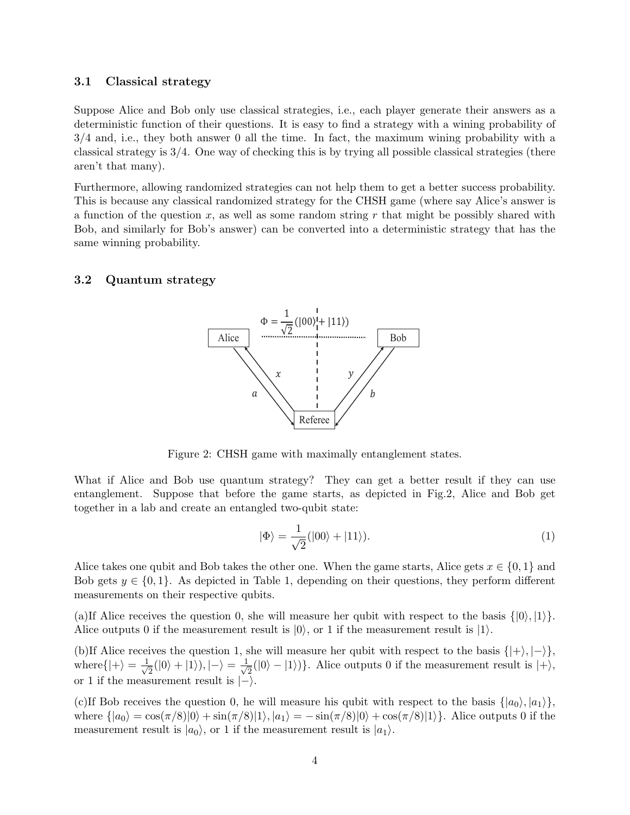### 3.1 Classical strategy

Suppose Alice and Bob only use classical strategies, i.e., each player generate their answers as a deterministic function of their questions. It is easy to find a strategy with a wining probability of 3/4 and, i.e., they both answer 0 all the time. In fact, the maximum wining probability with a classical strategy is 3/4. One way of checking this is by trying all possible classical strategies (there aren't that many).

Furthermore, allowing randomized strategies can not help them to get a better success probability. This is because any classical randomized strategy for the CHSH game (where say Alice's answer is a function of the question  $x$ , as well as some random string r that might be possibly shared with Bob, and similarly for Bob's answer) can be converted into a deterministic strategy that has the same winning probability.

#### 3.2 Quantum strategy



Figure 2: CHSH game with maximally entanglement states.

What if Alice and Bob use quantum strategy? They can get a better result if they can use entanglement. Suppose that before the game starts, as depicted in Fig.2, Alice and Bob get together in a lab and create an entangled two-qubit state:

$$
|\Phi\rangle = \frac{1}{\sqrt{2}}(|00\rangle + |11\rangle). \tag{1}
$$

Alice takes one qubit and Bob takes the other one. When the game starts, Alice gets  $x \in \{0, 1\}$  and Bob gets  $y \in \{0, 1\}$ . As depicted in Table 1, depending on their questions, they perform different measurements on their respective qubits.

(a)If Alice receives the question 0, she will measure her qubit with respect to the basis  $\{|0\rangle, |1\rangle\}$ . Alice outputs 0 if the measurement result is  $|0\rangle$ , or 1 if the measurement result is  $|1\rangle$ .

(b)If Alice receives the question 1, she will measure her qubit with respect to the basis  $\{|\rangle, |\rangle\}$ , where  $\{|+\rangle = \frac{1}{\sqrt{2}}\}$  $\frac{1}{2}(|0\rangle+|1\rangle), |-\rangle=\frac{1}{\sqrt{2}}$  $\overline{Z}(0) - (1)$ }. Alice outputs 0 if the measurement result is  $|+\rangle$ , or 1 if the measurement result is  $\ket{-}$ .

(c)If Bob receives the question 0, he will measure his qubit with respect to the basis  $\{|a_0\rangle, |a_1\rangle\}$ , where  $\{|a_0\rangle = \cos(\pi/8)|0\rangle + \sin(\pi/8)|1\rangle, |a_1\rangle = -\sin(\pi/8)|0\rangle + \cos(\pi/8)|1\rangle$ . Alice outputs 0 if the measurement result is  $|a_0\rangle$ , or 1 if the measurement result is  $|a_1\rangle$ .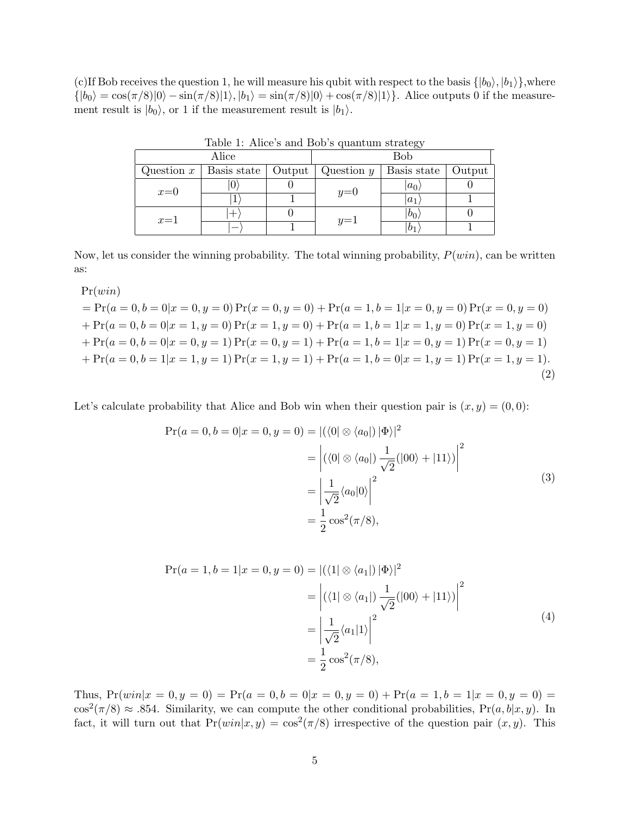(c)If Bob receives the question 1, he will measure his qubit with respect to the basis  $\{|b_0\rangle, |b_1\rangle\}$ , where  $\{|b_0\rangle = \cos(\pi/8)|0\rangle - \sin(\pi/8)|1\rangle, |b_1\rangle = \sin(\pi/8)|0\rangle + \cos(\pi/8)|1\rangle$ . Alice outputs 0 if the measurement result is  $|b_0\rangle$ , or 1 if the measurement result is  $|b_1\rangle$ .

| $\frac{1}{2}$ |             |        |              |             |        |
|---------------|-------------|--------|--------------|-------------|--------|
| Alice         |             |        | Bob          |             |        |
| Question $x$  | Basis state | Output | Question $y$ | Basis state | Output |
| $x=0$         |             |        | $y=0$        | $ a_0 $     |        |
|               |             |        |              | $a_1$       |        |
| $x=1$         |             |        | $y=1$        | $b_0$       |        |
|               |             |        |              | $b_1$       |        |

Table 1: Alice's and Bob's quantum strategy

Now, let us consider the winning probability. The total winning probability,  $P(win)$ , can be written as:

 $Pr(win)$ 

$$
= Pr(a = 0, b = 0|x = 0, y = 0) Pr(x = 0, y = 0) + Pr(a = 1, b = 1|x = 0, y = 0) Pr(x = 0, y = 0)
$$
  
+ Pr(a = 0, b = 0|x = 1, y = 0) Pr(x = 1, y = 0) + Pr(a = 1, b = 1|x = 1, y = 0) Pr(x = 1, y = 0)  
+ Pr(a = 0, b = 0|x = 0, y = 1) Pr(x = 0, y = 1) + Pr(a = 1, b = 1|x = 0, y = 1) Pr(x = 0, y = 1)  
+ Pr(a = 0, b = 1|x = 1, y = 1) Pr(x = 1, y = 1) + Pr(a = 1, b = 0|x = 1, y = 1) Pr(x = 1, y = 1). (2)

Let's calculate probability that Alice and Bob win when their question pair is  $(x, y) = (0, 0)$ :

$$
\Pr(a = 0, b = 0 | x = 0, y = 0) = |(\langle 0 | \otimes \langle a_0 |) | \Phi \rangle|^2
$$
  
= 
$$
\left| (\langle 0 | \otimes \langle a_0 |) \frac{1}{\sqrt{2}} (|00 \rangle + |11 \rangle) \right|^2
$$
  
= 
$$
\left| \frac{1}{\sqrt{2}} \langle a_0 | 0 \rangle \right|^2
$$
  
= 
$$
\frac{1}{2} \cos^2(\pi/8),
$$
 (3)

$$
\Pr(a = 1, b = 1 | x = 0, y = 0) = |(\langle 1 | \otimes \langle a_1 |) | \Phi \rangle|^2
$$
  
= 
$$
\left| (\langle 1 | \otimes \langle a_1 |) \frac{1}{\sqrt{2}} (|00 \rangle + |11 \rangle) \right|^2
$$
  
= 
$$
\left| \frac{1}{\sqrt{2}} \langle a_1 | 1 \rangle \right|^2
$$
  
= 
$$
\frac{1}{2} \cos^2(\pi/8),
$$
 (4)

Thus,  $Pr(win|x = 0, y = 0) = Pr(a = 0, b = 0|x = 0, y = 0) + Pr(a = 1, b = 1|x = 0, y = 0)$  $\cos^2(\pi/8) \approx .854$ . Similarity, we can compute the other conditional probabilities,  $Pr(a, b|x, y)$ . In fact, it will turn out that  $Pr(win|x,y) = cos^2(\pi/8)$  irrespective of the question pair  $(x, y)$ . This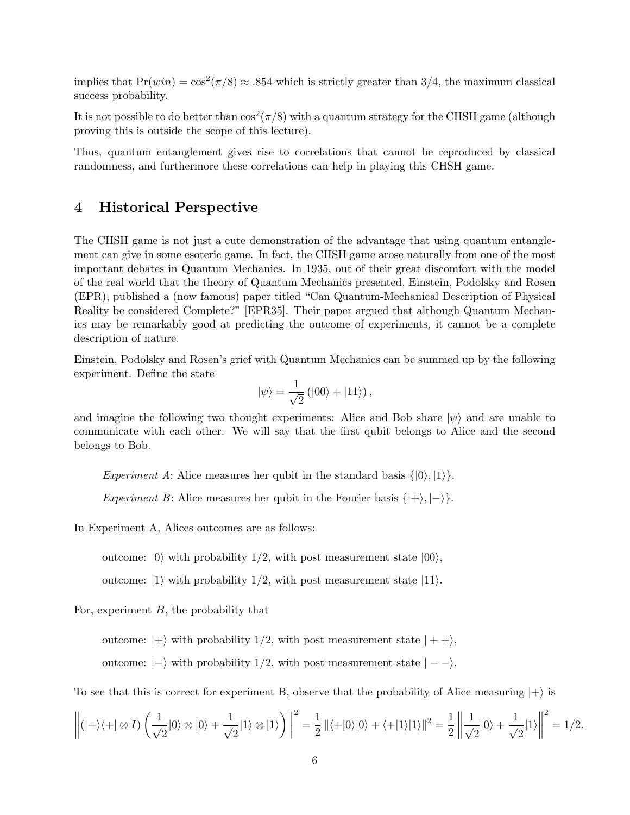implies that  $Pr(win) = \cos^2(\pi/8) \approx .854$  which is strictly greater than 3/4, the maximum classical success probability.

It is not possible to do better than  $\cos^2(\pi/8)$  with a quantum strategy for the CHSH game (although proving this is outside the scope of this lecture).

Thus, quantum entanglement gives rise to correlations that cannot be reproduced by classical randomness, and furthermore these correlations can help in playing this CHSH game.

### 4 Historical Perspective

The CHSH game is not just a cute demonstration of the advantage that using quantum entanglement can give in some esoteric game. In fact, the CHSH game arose naturally from one of the most important debates in Quantum Mechanics. In 1935, out of their great discomfort with the model of the real world that the theory of Quantum Mechanics presented, Einstein, Podolsky and Rosen (EPR), published a (now famous) paper titled "Can Quantum-Mechanical Description of Physical Reality be considered Complete?" [EPR35]. Their paper argued that although Quantum Mechanics may be remarkably good at predicting the outcome of experiments, it cannot be a complete description of nature.

Einstein, Podolsky and Rosen's grief with Quantum Mechanics can be summed up by the following experiment. Define the state

$$
|\psi\rangle = \frac{1}{\sqrt{2}} (|00\rangle + |11\rangle),
$$

and imagine the following two thought experiments: Alice and Bob share  $|\psi\rangle$  and are unable to communicate with each other. We will say that the first qubit belongs to Alice and the second belongs to Bob.

Experiment A: Alice measures her qubit in the standard basis  $\{|0\rangle, |1\rangle\}.$ Experiment B: Alice measures her qubit in the Fourier basis  $\{|\rangle, |\rangle\}.$ 

In Experiment A, Alices outcomes are as follows:

outcome:  $|0\rangle$  with probability 1/2, with post measurement state  $|00\rangle$ ,

outcome:  $|1\rangle$  with probability  $1/2$ , with post measurement state  $|11\rangle$ .

For, experiment  $B$ , the probability that

outcome:  $|+\rangle$  with probability 1/2, with post measurement state  $|++\rangle$ ,

outcome:  $|-\rangle$  with probability 1/2, with post measurement state  $| - -\rangle$ .

To see that this is correct for experiment B, observe that the probability of Alice measuring  $|+\rangle$  is

$$
\left\| (|+\rangle\langle+| \otimes I) \left( \frac{1}{\sqrt{2}} |0\rangle \otimes |0\rangle + \frac{1}{\sqrt{2}} |1\rangle \otimes |1\rangle \right) \right\|^2 = \frac{1}{2} \left\| \langle+|0\rangle |0\rangle + \langle+|1\rangle |1\rangle \right\|^2 = \frac{1}{2} \left\| \frac{1}{\sqrt{2}} |0\rangle + \frac{1}{\sqrt{2}} |1\rangle \right\|^2 = 1/2.
$$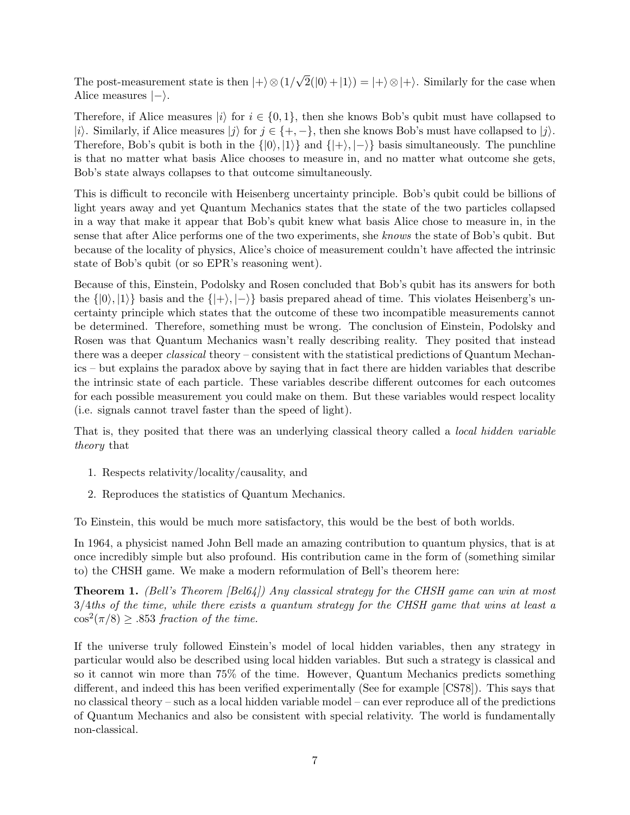The post-measurement state is then  $|+\rangle \otimes (1/$ √  $2(|0\rangle+|1\rangle) = |+\rangle \otimes |+\rangle$ . Similarly for the case when Alice measures  $|-\rangle$ .

Therefore, if Alice measures  $|i\rangle$  for  $i \in \{0,1\}$ , then she knows Bob's qubit must have collapsed to |i). Similarly, if Alice measures  $|j\rangle$  for  $j \in \{+, -\}$ , then she knows Bob's must have collapsed to  $|j\rangle$ . Therefore, Bob's qubit is both in the  $\{|0\rangle, |1\rangle\}$  and  $\{|+\rangle, |-\rangle\}$  basis simultaneously. The punchline is that no matter what basis Alice chooses to measure in, and no matter what outcome she gets, Bob's state always collapses to that outcome simultaneously.

This is difficult to reconcile with Heisenberg uncertainty principle. Bob's qubit could be billions of light years away and yet Quantum Mechanics states that the state of the two particles collapsed in a way that make it appear that Bob's qubit knew what basis Alice chose to measure in, in the sense that after Alice performs one of the two experiments, she knows the state of Bob's qubit. But because of the locality of physics, Alice's choice of measurement couldn't have affected the intrinsic state of Bob's qubit (or so EPR's reasoning went).

Because of this, Einstein, Podolsky and Rosen concluded that Bob's qubit has its answers for both the  $\{|0\rangle, |1\rangle\}$  basis and the  $\{|+\rangle, |-\rangle\}$  basis prepared ahead of time. This violates Heisenberg's uncertainty principle which states that the outcome of these two incompatible measurements cannot be determined. Therefore, something must be wrong. The conclusion of Einstein, Podolsky and Rosen was that Quantum Mechanics wasn't really describing reality. They posited that instead there was a deeper *classical* theory – consistent with the statistical predictions of Quantum Mechanics – but explains the paradox above by saying that in fact there are hidden variables that describe the intrinsic state of each particle. These variables describe different outcomes for each outcomes for each possible measurement you could make on them. But these variables would respect locality (i.e. signals cannot travel faster than the speed of light).

That is, they posited that there was an underlying classical theory called a *local hidden variable* theory that

- 1. Respects relativity/locality/causality, and
- 2. Reproduces the statistics of Quantum Mechanics.

To Einstein, this would be much more satisfactory, this would be the best of both worlds.

In 1964, a physicist named John Bell made an amazing contribution to quantum physics, that is at once incredibly simple but also profound. His contribution came in the form of (something similar to) the CHSH game. We make a modern reformulation of Bell's theorem here:

**Theorem 1.** (Bell's Theorem  $|Bel64|$ ) Any classical strategy for the CHSH game can win at most 3/4ths of the time, while there exists a quantum strategy for the CHSH game that wins at least a  $\cos^2(\pi/8) \geq .853$  fraction of the time.

If the universe truly followed Einstein's model of local hidden variables, then any strategy in particular would also be described using local hidden variables. But such a strategy is classical and so it cannot win more than 75% of the time. However, Quantum Mechanics predicts something different, and indeed this has been verified experimentally (See for example [CS78]). This says that no classical theory – such as a local hidden variable model – can ever reproduce all of the predictions of Quantum Mechanics and also be consistent with special relativity. The world is fundamentally non-classical.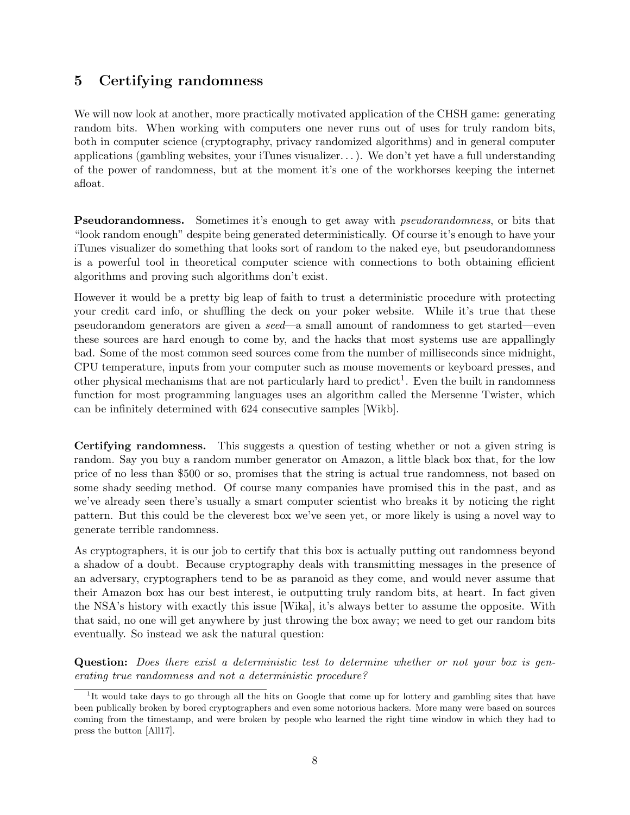# 5 Certifying randomness

We will now look at another, more practically motivated application of the CHSH game: generating random bits. When working with computers one never runs out of uses for truly random bits, both in computer science (cryptography, privacy randomized algorithms) and in general computer applications (gambling websites, your iTunes visualizer. . . ). We don't yet have a full understanding of the power of randomness, but at the moment it's one of the workhorses keeping the internet afloat.

**Pseudorandomness.** Sometimes it's enough to get away with *pseudorandomness*, or bits that "look random enough" despite being generated deterministically. Of course it's enough to have your iTunes visualizer do something that looks sort of random to the naked eye, but pseudorandomness is a powerful tool in theoretical computer science with connections to both obtaining efficient algorithms and proving such algorithms don't exist.

However it would be a pretty big leap of faith to trust a deterministic procedure with protecting your credit card info, or shuffling the deck on your poker website. While it's true that these pseudorandom generators are given a seed—a small amount of randomness to get started—even these sources are hard enough to come by, and the hacks that most systems use are appallingly bad. Some of the most common seed sources come from the number of milliseconds since midnight, CPU temperature, inputs from your computer such as mouse movements or keyboard presses, and other physical mechanisms that are not particularly hard to predict<sup>1</sup>. Even the built in randomness function for most programming languages uses an algorithm called the Mersenne Twister, which can be infinitely determined with 624 consecutive samples [Wikb].

Certifying randomness. This suggests a question of testing whether or not a given string is random. Say you buy a random number generator on Amazon, a little black box that, for the low price of no less than \$500 or so, promises that the string is actual true randomness, not based on some shady seeding method. Of course many companies have promised this in the past, and as we've already seen there's usually a smart computer scientist who breaks it by noticing the right pattern. But this could be the cleverest box we've seen yet, or more likely is using a novel way to generate terrible randomness.

As cryptographers, it is our job to certify that this box is actually putting out randomness beyond a shadow of a doubt. Because cryptography deals with transmitting messages in the presence of an adversary, cryptographers tend to be as paranoid as they come, and would never assume that their Amazon box has our best interest, ie outputting truly random bits, at heart. In fact given the NSA's history with exactly this issue [Wika], it's always better to assume the opposite. With that said, no one will get anywhere by just throwing the box away; we need to get our random bits eventually. So instead we ask the natural question:

Question: Does there exist a deterministic test to determine whether or not your box is generating true randomness and not a deterministic procedure?

<sup>&</sup>lt;sup>1</sup>It would take days to go through all the hits on Google that come up for lottery and gambling sites that have been publically broken by bored cryptographers and even some notorious hackers. More many were based on sources coming from the timestamp, and were broken by people who learned the right time window in which they had to press the button [All17].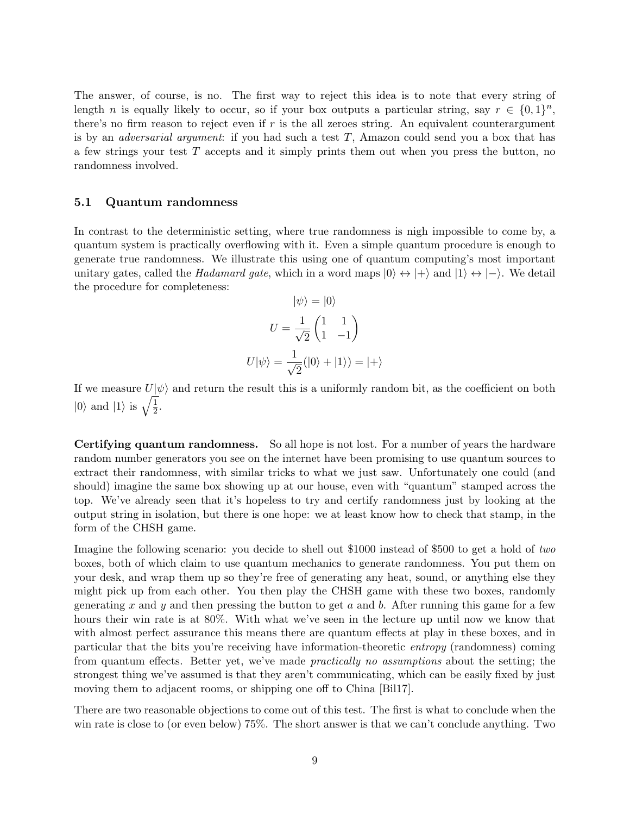The answer, of course, is no. The first way to reject this idea is to note that every string of length *n* is equally likely to occur, so if your box outputs a particular string, say  $r \in \{0,1\}^n$ , there's no firm reason to reject even if  $r$  is the all zeroes string. An equivalent counterargument is by an *adversarial argument*: if you had such a test  $T$ , Amazon could send you a box that has a few strings your test  $T$  accepts and it simply prints them out when you press the button, no randomness involved.

#### 5.1 Quantum randomness

In contrast to the deterministic setting, where true randomness is nigh impossible to come by, a quantum system is practically overflowing with it. Even a simple quantum procedure is enough to generate true randomness. We illustrate this using one of quantum computing's most important unitary gates, called the Hadamard gate, which in a word maps  $|0\rangle \leftrightarrow |+\rangle$  and  $|1\rangle \leftrightarrow |-\rangle$ . We detail the procedure for completeness:  $|e^{i\lambda} - 10\rangle$ 

$$
|\psi\rangle = |0\rangle
$$

$$
U = \frac{1}{\sqrt{2}} \begin{pmatrix} 1 & 1 \\ 1 & -1 \end{pmatrix}
$$

$$
U|\psi\rangle = \frac{1}{\sqrt{2}}(|0\rangle + |1\rangle) = |+\rangle
$$

If we measure  $U|\psi\rangle$  and return the result this is a uniformly random bit, as the coefficient on both  $|0\rangle$  and  $|1\rangle$  is  $\sqrt{\frac{1}{2}}$  $rac{1}{2}$ .

Certifying quantum randomness. So all hope is not lost. For a number of years the hardware random number generators you see on the internet have been promising to use quantum sources to extract their randomness, with similar tricks to what we just saw. Unfortunately one could (and should) imagine the same box showing up at our house, even with "quantum" stamped across the top. We've already seen that it's hopeless to try and certify randomness just by looking at the output string in isolation, but there is one hope: we at least know how to check that stamp, in the form of the CHSH game.

Imagine the following scenario: you decide to shell out \$1000 instead of \$500 to get a hold of two boxes, both of which claim to use quantum mechanics to generate randomness. You put them on your desk, and wrap them up so they're free of generating any heat, sound, or anything else they might pick up from each other. You then play the CHSH game with these two boxes, randomly generating x and y and then pressing the button to get a and b. After running this game for a few hours their win rate is at 80%. With what we've seen in the lecture up until now we know that with almost perfect assurance this means there are quantum effects at play in these boxes, and in particular that the bits you're receiving have information-theoretic entropy (randomness) coming from quantum effects. Better yet, we've made practically no assumptions about the setting; the strongest thing we've assumed is that they aren't communicating, which can be easily fixed by just moving them to adjacent rooms, or shipping one off to China [Bil17].

There are two reasonable objections to come out of this test. The first is what to conclude when the win rate is close to (or even below) 75%. The short answer is that we can't conclude anything. Two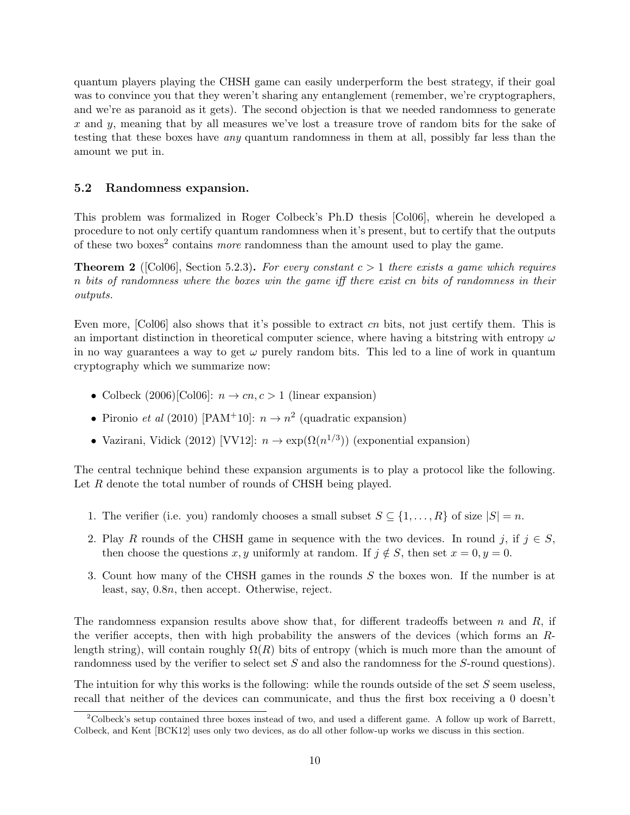quantum players playing the CHSH game can easily underperform the best strategy, if their goal was to convince you that they weren't sharing any entanglement (remember, we're cryptographers, and we're as paranoid as it gets). The second objection is that we needed randomness to generate  $x$  and  $y$ , meaning that by all measures we've lost a treasure trove of random bits for the sake of testing that these boxes have any quantum randomness in them at all, possibly far less than the amount we put in.

#### 5.2 Randomness expansion.

This problem was formalized in Roger Colbeck's Ph.D thesis [Col06], wherein he developed a procedure to not only certify quantum randomness when it's present, but to certify that the outputs of these two boxes<sup>2</sup> contains *more* randomness than the amount used to play the game.

**Theorem 2** ([Col06], Section 5.2.3). For every constant  $c > 1$  there exists a game which requires n bits of randomness where the boxes win the game iff there exist cn bits of randomness in their outputs.

Even more,  $\lceil \text{Col06} \rceil$  also shows that it's possible to extract cn bits, not just certify them. This is an important distinction in theoretical computer science, where having a bitstring with entropy  $\omega$ in no way guarantees a way to get  $\omega$  purely random bits. This led to a line of work in quantum cryptography which we summarize now:

- Colbeck  $(2006)$ [Col06]:  $n \rightarrow cn, c > 1$  (linear expansion)
- Pironio et al (2010) [PAM<sup>+</sup>10]:  $n \to n^2$  (quadratic expansion)
- Vazirani, Vidick (2012) [VV12]:  $n \to \exp(\Omega(n^{1/3}))$  (exponential expansion)

The central technique behind these expansion arguments is to play a protocol like the following. Let R denote the total number of rounds of CHSH being played.

- 1. The verifier (i.e. you) randomly chooses a small subset  $S \subseteq \{1, ..., R\}$  of size  $|S| = n$ .
- 2. Play R rounds of the CHSH game in sequence with the two devices. In round j, if  $j \in S$ , then choose the questions x, y uniformly at random. If  $j \notin S$ , then set  $x = 0, y = 0$ .
- 3. Count how many of the CHSH games in the rounds S the boxes won. If the number is at least, say, 0.8n, then accept. Otherwise, reject.

The randomness expansion results above show that, for different tradeoffs between  $n$  and  $R$ , if the verifier accepts, then with high probability the answers of the devices (which forms an Rlength string), will contain roughly  $\Omega(R)$  bits of entropy (which is much more than the amount of randomness used by the verifier to select set S and also the randomness for the S-round questions).

The intuition for why this works is the following: while the rounds outside of the set  $S$  seem useless, recall that neither of the devices can communicate, and thus the first box receiving a 0 doesn't

<sup>2</sup>Colbeck's setup contained three boxes instead of two, and used a different game. A follow up work of Barrett, Colbeck, and Kent [BCK12] uses only two devices, as do all other follow-up works we discuss in this section.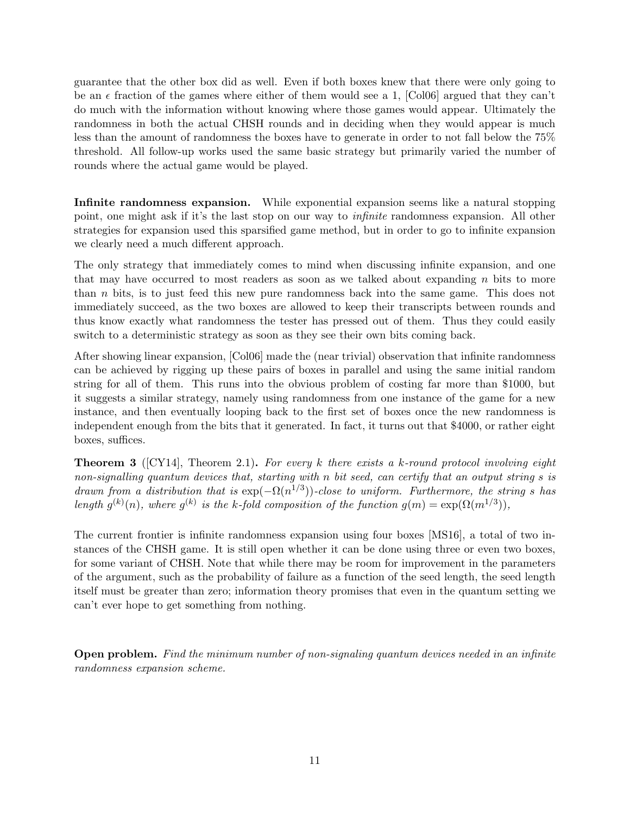guarantee that the other box did as well. Even if both boxes knew that there were only going to be an  $\epsilon$  fraction of the games where either of them would see a 1, [Col06] argued that they can't do much with the information without knowing where those games would appear. Ultimately the randomness in both the actual CHSH rounds and in deciding when they would appear is much less than the amount of randomness the boxes have to generate in order to not fall below the 75% threshold. All follow-up works used the same basic strategy but primarily varied the number of rounds where the actual game would be played.

Infinite randomness expansion. While exponential expansion seems like a natural stopping point, one might ask if it's the last stop on our way to infinite randomness expansion. All other strategies for expansion used this sparsified game method, but in order to go to infinite expansion we clearly need a much different approach.

The only strategy that immediately comes to mind when discussing infinite expansion, and one that may have occurred to most readers as soon as we talked about expanding  $n$  bits to more than n bits, is to just feed this new pure randomness back into the same game. This does not immediately succeed, as the two boxes are allowed to keep their transcripts between rounds and thus know exactly what randomness the tester has pressed out of them. Thus they could easily switch to a deterministic strategy as soon as they see their own bits coming back.

After showing linear expansion, [Col06] made the (near trivial) observation that infinite randomness can be achieved by rigging up these pairs of boxes in parallel and using the same initial random string for all of them. This runs into the obvious problem of costing far more than \$1000, but it suggests a similar strategy, namely using randomness from one instance of the game for a new instance, and then eventually looping back to the first set of boxes once the new randomness is independent enough from the bits that it generated. In fact, it turns out that \$4000, or rather eight boxes, suffices.

**Theorem 3** ( $[CY14]$ , Theorem 2.1). For every k there exists a k-round protocol involving eight non-signalling quantum devices that, starting with n bit seed, can certify that an output string s is drawn from a distribution that is  $\exp(-\Omega(n^{1/3}))$ -close to uniform. Furthermore, the string s has length  $g^{(k)}(n)$ , where  $g^{(k)}$  is the k-fold composition of the function  $g(m) = \exp(\Omega(m^{1/3}))$ ,

The current frontier is infinite randomness expansion using four boxes [MS16], a total of two instances of the CHSH game. It is still open whether it can be done using three or even two boxes, for some variant of CHSH. Note that while there may be room for improvement in the parameters of the argument, such as the probability of failure as a function of the seed length, the seed length itself must be greater than zero; information theory promises that even in the quantum setting we can't ever hope to get something from nothing.

Open problem. Find the minimum number of non-signaling quantum devices needed in an infinite randomness expansion scheme.